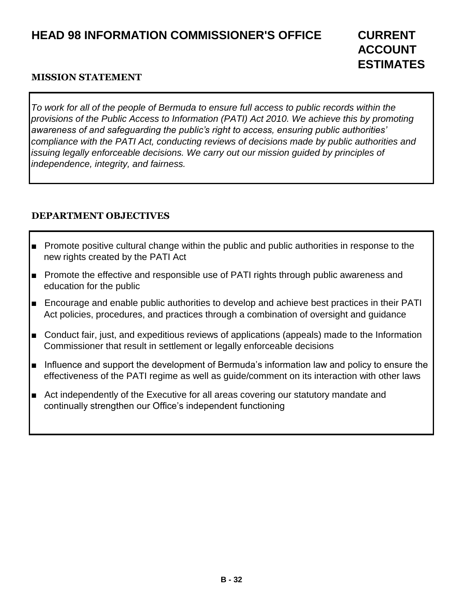# **HEAD 98 INFORMATION COMMISSIONER'S OFFICE CURRENT**

#### **MISSION STATEMENT**

*To work for all of the people of Bermuda to ensure full access to public records within the provisions of the Public Access to Information (PATI) Act 2010. We achieve this by promoting awareness of and safeguarding the public's right to access, ensuring public authorities' compliance with the PATI Act, conducting reviews of decisions made by public authorities and issuing legally enforceable decisions. We carry out our mission guided by principles of independence, integrity, and fairness.*

## **DEPARTMENT OBJECTIVES**

- Promote positive cultural change within the public and public authorities in response to the new rights created by the PATI Act
- Promote the effective and responsible use of PATI rights through public awareness and education for the public
- Encourage and enable public authorities to develop and achieve best practices in their PATI Act policies, procedures, and practices through a combination of oversight and guidance
- Conduct fair, just, and expeditious reviews of applications (appeals) made to the Information Commissioner that result in settlement or legally enforceable decisions
- Influence and support the development of Bermuda's information law and policy to ensure the effectiveness of the PATI regime as well as guide/comment on its interaction with other laws
- Act independently of the Executive for all areas covering our statutory mandate and continually strengthen our Office's independent functioning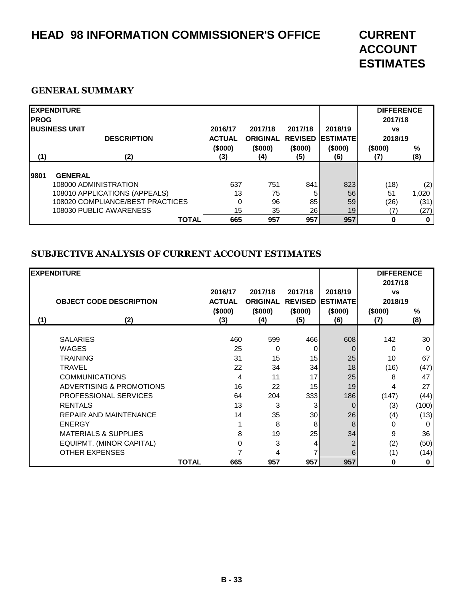# **HEAD 98 INFORMATION COMMISSIONER'S OFFICE CURRENT**

# **ACCOUNT ESTIMATES**

#### **GENERAL SUMMARY**

| <b>IPROG</b> | <b>EXPENDITURE</b>                                                                                                                      |                                            | 2017/18                           | 2017/18              |                                                       | <b>DIFFERENCE</b><br>2017/18    |                              |
|--------------|-----------------------------------------------------------------------------------------------------------------------------------------|--------------------------------------------|-----------------------------------|----------------------|-------------------------------------------------------|---------------------------------|------------------------------|
| (1)          | <b>IBUSINESS UNIT</b><br><b>DESCRIPTION</b><br>(2)                                                                                      | 2016/17<br><b>ACTUAL</b><br>(\$000)<br>(3) | <b>ORIGINAL</b><br>(\$000)<br>(4) | (\$000)<br>(5)       | 2018/19<br><b>REVISED LESTIMATE</b><br>(\$000)<br>(6) | <b>VS</b><br>2018/19<br>(\$000) | %<br>(8)                     |
| 19801        | <b>GENERAL</b><br>108000 ADMINISTRATION<br>108010 APPLICATIONS (APPEALS)<br>108020 COMPLIANCE/BEST PRACTICES<br>108030 PUBLIC AWARENESS | 637<br>13<br>0<br>15                       | 751<br>75<br>96<br>35             | 841<br>5<br>85<br>26 | 823<br>56<br>59<br>19                                 | (18)<br>51<br>(26)<br>17        | (2)<br>1,020<br>(31)<br>(27) |
|              | <b>TOTAL</b>                                                                                                                            | 665                                        | 957                               | 957                  | 957                                                   | 0                               | $\bf{0}$                     |

#### **SUBJECTIVE ANALYSIS OF CURRENT ACCOUNT ESTIMATES**

|     | <b>EXPENDITURE</b>              |              |               |                 |                |                  | <b>DIFFERENCE</b> |             |
|-----|---------------------------------|--------------|---------------|-----------------|----------------|------------------|-------------------|-------------|
|     |                                 |              |               |                 |                |                  | 2017/18           |             |
|     |                                 |              | 2016/17       | 2017/18         | 2017/18        | 2018/19          | <b>VS</b>         |             |
|     | <b>OBJECT CODE DESCRIPTION</b>  |              | <b>ACTUAL</b> | <b>ORIGINAL</b> | <b>REVISED</b> | <b>IESTIMATE</b> | 2018/19           |             |
|     |                                 |              | (\$000)       | (\$000)         | (\$000)        | (\$000)          | (\$000)           | $\%$        |
| (1) | (2)                             |              | (3)           | (4)             | (5)            | (6)              | (7)               | (8)         |
|     |                                 |              |               |                 |                |                  |                   |             |
|     | <b>SALARIES</b>                 |              | 460           | 599             | 466            | 608              | 142               | 30          |
|     | <b>WAGES</b>                    |              | 25            | 0               | 0              |                  | 0                 | 0           |
|     | <b>TRAINING</b>                 |              | 31            | 15              | 15             | 25               | 10                | 67          |
|     | <b>TRAVEL</b>                   |              | 22            | 34              | 34             | 18               | (16)              | (47)        |
|     | <b>COMMUNICATIONS</b>           |              | 4             | 11              | 17             | 25               | 8                 | 47          |
|     | ADVERTISING & PROMOTIONS        |              | 16            | 22              | 15             | 19               | 4                 | 27          |
|     | PROFESSIONAL SERVICES           |              | 64            | 204             | 333            | 186              | (147)             | (44)        |
|     | <b>RENTALS</b>                  |              | 13            | 3               | 3              | $\Omega$         | (3)               | (100)       |
|     | <b>REPAIR AND MAINTENANCE</b>   |              | 14            | 35              | 30             | 26               | (4)               | (13)        |
|     | <b>ENERGY</b>                   |              |               | 8               | 8              | 8                | 0                 | 0           |
|     | <b>MATERIALS &amp; SUPPLIES</b> |              | 8             | 19              | 25             | 34               | 9                 | 36          |
|     | EQUIPMT. (MINOR CAPITAL)        |              | 0             | 3               | 4              | 2                | (2)               | (50)        |
|     | <b>OTHER EXPENSES</b>           |              |               | 4               |                | 6                | (1)               | (14)        |
|     |                                 | <b>TOTAL</b> | 665           | 957             | 957            | 957              | $\bf{0}$          | $\mathbf 0$ |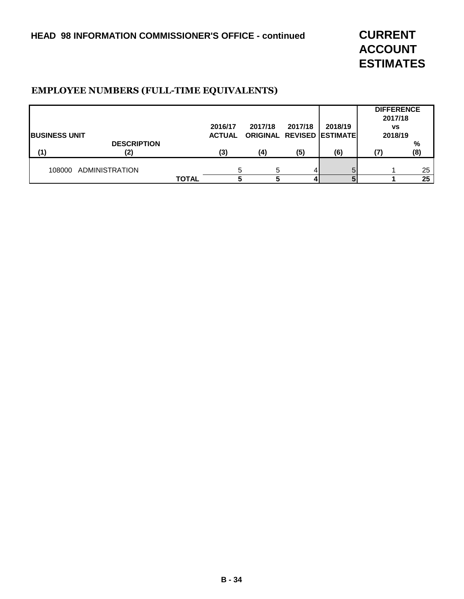**ACCOUNT ESTIMATES**

### **EMPLOYEE NUMBERS (FULL-TIME EQUIVALENTS)**

|                       |                       |              |               |                                  |         |         | <b>DIFFERENCE</b><br>2017/18 |     |
|-----------------------|-----------------------|--------------|---------------|----------------------------------|---------|---------|------------------------------|-----|
|                       |                       |              | 2016/17       | 2017/18                          | 2017/18 | 2018/19 | <b>VS</b>                    |     |
| <b>IBUSINESS UNIT</b> |                       |              | <b>ACTUAL</b> | <b>ORIGINAL REVISED ESTIMATE</b> |         |         | 2018/19                      |     |
|                       | <b>DESCRIPTION</b>    |              |               |                                  |         |         |                              | %   |
| (1)                   | (2)                   |              | (3)           | (4)                              | (5)     | (6)     |                              | (8) |
|                       |                       |              |               |                                  |         |         |                              |     |
| 108000                | <b>ADMINISTRATION</b> |              |               | 5                                |         |         |                              | 25  |
|                       |                       | <b>TOTAL</b> |               |                                  |         |         |                              | 25  |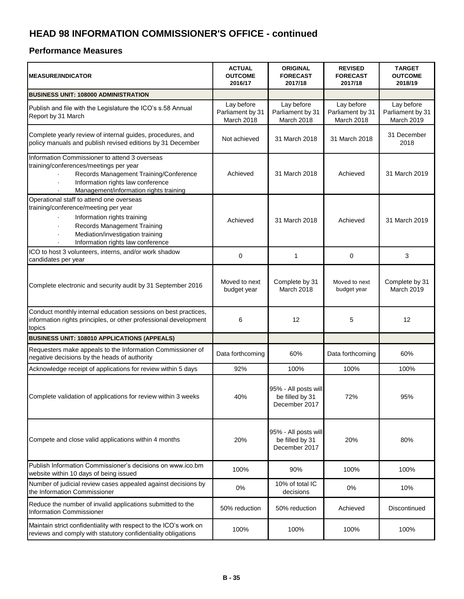| <b>MEASURE/INDICATOR</b>                                                                                                                                                                                                       | <b>ACTUAL</b><br><b>OUTCOME</b><br>2016/17   | <b>ORIGINAL</b><br><b>FORECAST</b><br>2017/18            | <b>REVISED</b><br><b>FORECAST</b><br>2017/18 | <b>TARGET</b><br><b>OUTCOME</b><br>2018/19   |
|--------------------------------------------------------------------------------------------------------------------------------------------------------------------------------------------------------------------------------|----------------------------------------------|----------------------------------------------------------|----------------------------------------------|----------------------------------------------|
| BUSINESS UNIT: 108000 ADMINISTRATION                                                                                                                                                                                           |                                              |                                                          |                                              |                                              |
| Publish and file with the Legislature the ICO's s.58 Annual<br>Report by 31 March                                                                                                                                              | Lay before<br>Parliament by 31<br>March 2018 | Lay before<br>Parliament by 31<br>March 2018             | Lay before<br>Parliament by 31<br>March 2018 | Lay before<br>Parliament by 31<br>March 2019 |
| Complete yearly review of internal guides, procedures, and<br>policy manuals and publish revised editions by 31 December                                                                                                       | Not achieved                                 | 31 March 2018                                            | 31 March 2018                                | 31 December<br>2018                          |
| Information Commissioner to attend 3 overseas<br>training/conferences/meetings per year<br>Records Management Training/Conference<br>Information rights law conference<br>ä,<br>Management/information rights training         | Achieved                                     | 31 March 2018                                            | Achieved                                     | 31 March 2019                                |
| Operational staff to attend one overseas<br>training/conference/meeting per year<br>Information rights training<br><b>Records Management Training</b><br>Mediation/investigation training<br>Information rights law conference | Achieved                                     | 31 March 2018                                            | Achieved                                     | 31 March 2019                                |
| ICO to host 3 volunteers, interns, and/or work shadow<br>candidates per year                                                                                                                                                   | 0                                            | 1                                                        | 0                                            | 3                                            |
| Complete electronic and security audit by 31 September 2016                                                                                                                                                                    | Moved to next<br>budget year                 | Complete by 31<br>March 2018                             | Moved to next<br>budget year                 | Complete by 31<br>March 2019                 |
| Conduct monthly internal education sessions on best practices,<br>information rights principles, or other professional development<br>topics                                                                                   | 6                                            | 12                                                       | 5                                            | 12                                           |
| BUSINESS UNIT: 108010 APPLICATIONS (APPEALS)                                                                                                                                                                                   |                                              |                                                          |                                              |                                              |
| Requesters make appeals to the Information Commissioner of<br>negative decisions by the heads of authority                                                                                                                     | Data forthcoming                             | 60%                                                      | Data forthcoming                             | 60%                                          |
| Acknowledge receipt of applications for review within 5 days                                                                                                                                                                   | 92%                                          | 100%                                                     | 100%                                         | 100%                                         |
| Complete validation of applications for review within 3 weeks                                                                                                                                                                  | 40%                                          | 95% - All posts will<br>be filled by 31<br>December 2017 | 72%                                          | 95%                                          |
| Compete and close valid applications within 4 months                                                                                                                                                                           | 20%                                          | 95% - All posts will<br>be filled by 31<br>December 2017 | 20%                                          | 80%                                          |
| Publish Information Commissioner's decisions on www.ico.bm<br>website within 10 days of being issued                                                                                                                           | 100%                                         | 90%                                                      | 100%                                         | 100%                                         |
| Number of judicial review cases appealed against decisions by<br>the Information Commissioner                                                                                                                                  | 0%                                           | 10% of total IC<br>decisions                             | 0%                                           | 10%                                          |
| Reduce the number of invalid applications submitted to the<br>Information Commissioner                                                                                                                                         | 50% reduction                                | 50% reduction                                            | Achieved                                     | Discontinued                                 |
| Maintain strict confidentiality with respect to the ICO's work on<br>reviews and comply with statutory confidentiality obligations                                                                                             | 100%                                         | 100%                                                     | 100%                                         | 100%                                         |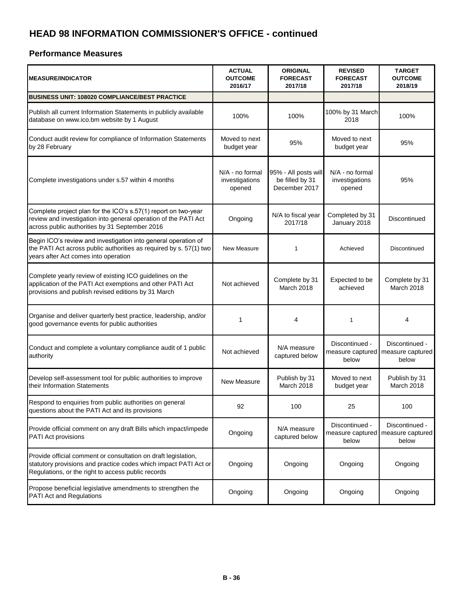| <b>MEASURE/INDICATOR</b>                                                                                                                                                                 | <b>ACTUAL</b><br><b>OUTCOME</b><br>2016/17  | <b>ORIGINAL</b><br><b>FORECAST</b><br>2017/18            | <b>REVISED</b><br><b>FORECAST</b><br>2017/18 | <b>TARGET</b><br><b>OUTCOME</b><br>2018/19  |
|------------------------------------------------------------------------------------------------------------------------------------------------------------------------------------------|---------------------------------------------|----------------------------------------------------------|----------------------------------------------|---------------------------------------------|
| <b>BUSINESS UNIT: 108020 COMPLIANCE/BEST PRACTICE</b>                                                                                                                                    |                                             |                                                          |                                              |                                             |
| Publish all current Information Statements in publicly available<br>database on www.ico.bm website by 1 August                                                                           | 100%                                        | 100%                                                     | 100% by 31 March<br>2018                     | 100%                                        |
| Conduct audit review for compliance of Information Statements<br>by 28 February                                                                                                          | Moved to next<br>budget year                | 95%                                                      | Moved to next<br>budget year                 | 95%                                         |
| Complete investigations under s.57 within 4 months                                                                                                                                       | N/A - no formal<br>investigations<br>opened | 95% - All posts will<br>be filled by 31<br>December 2017 | N/A - no formal<br>investigations<br>opened  | 95%                                         |
| Complete project plan for the ICO's s.57(1) report on two-year<br>review and investigation into general operation of the PATI Act<br>across public authorities by 31 September 2016      | Ongoing                                     | N/A to fiscal year<br>2017/18                            | Completed by 31<br>January 2018              | Discontinued                                |
| Begin ICO's review and investigation into general operation of<br>the PATI Act across public authorities as required by s. 57(1) two<br>years after Act comes into operation             | New Measure                                 | 1                                                        | Achieved                                     | Discontinued                                |
| Complete yearly review of existing ICO guidelines on the<br>application of the PATI Act exemptions and other PATI Act<br>provisions and publish revised editions by 31 March             | Not achieved                                | Complete by 31<br>March 2018                             | Expected to be<br>achieved                   | Complete by 31<br>March 2018                |
| Organise and deliver quarterly best practice, leadership, and/or<br>good governance events for public authorities                                                                        | 1                                           | 4                                                        | $\mathbf{1}$                                 | 4                                           |
| Conduct and complete a voluntary compliance audit of 1 public<br>authority                                                                                                               | Not achieved                                | N/A measure<br>captured below                            | Discontinued -<br>measure captured<br>below  | Discontinued -<br>measure captured<br>below |
| Develop self-assessment tool for public authorities to improve<br>their Information Statements                                                                                           | New Measure                                 | Publish by 31<br>March 2018                              | Moved to next<br>budget year                 | Publish by 31<br>March 2018                 |
| Respond to enquiries from public authorities on general<br>questions about the PATI Act and its provisions                                                                               | 92                                          | 100                                                      | 25                                           | 100                                         |
| Provide official comment on any draft Bills which impact/impede<br>PATI Act provisions                                                                                                   | Ongoing                                     | N/A measure<br>captured below                            | Discontinued -<br>measure captured<br>below  | Discontinued -<br>measure captured<br>below |
| Provide official comment or consultation on draft legislation,<br>statutory provisions and practice codes which impact PATI Act or<br>Regulations, or the right to access public records | Ongoing                                     | Ongoing                                                  | Ongoing                                      | Ongoing                                     |
| Propose beneficial legislative amendments to strengthen the<br><b>PATI Act and Regulations</b>                                                                                           | Ongoing                                     | Ongoing                                                  | Ongoing                                      | Ongoing                                     |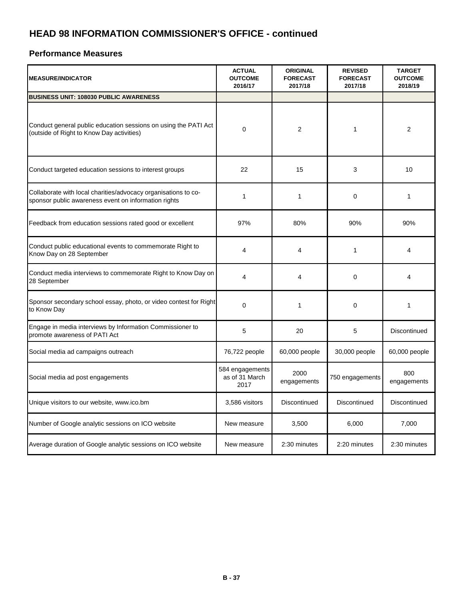| <b>MEASURE/INDICATOR</b>                                                                                               | <b>ACTUAL</b><br><b>OUTCOME</b><br>2016/17 | <b>ORIGINAL</b><br><b>FORECAST</b><br>2017/18 | <b>REVISED</b><br><b>FORECAST</b><br>2017/18 | <b>TARGET</b><br><b>OUTCOME</b><br>2018/19 |
|------------------------------------------------------------------------------------------------------------------------|--------------------------------------------|-----------------------------------------------|----------------------------------------------|--------------------------------------------|
| <b>BUSINESS UNIT: 108030 PUBLIC AWARENESS</b>                                                                          |                                            |                                               |                                              |                                            |
| Conduct general public education sessions on using the PATI Act<br>(outside of Right to Know Day activities)           | $\Omega$                                   | 2                                             | 1                                            | 2                                          |
| Conduct targeted education sessions to interest groups                                                                 | 22                                         | 15                                            | 3                                            | 10                                         |
| Collaborate with local charities/advocacy organisations to co-<br>sponsor public awareness event on information rights | 1                                          | $\mathbf{1}$                                  | 0                                            | $\mathbf{1}$                               |
| Feedback from education sessions rated good or excellent                                                               | 97%                                        | 80%                                           | 90%                                          | 90%                                        |
| Conduct public educational events to commemorate Right to<br>Know Day on 28 September                                  | 4                                          | 4                                             | 1                                            | 4                                          |
| Conduct media interviews to commemorate Right to Know Day on<br>28 September                                           | 4                                          | 4                                             | 0                                            | 4                                          |
| Sponsor secondary school essay, photo, or video contest for Right<br>to Know Day                                       | $\Omega$                                   | $\mathbf{1}$                                  | $\Omega$                                     | 1                                          |
| Engage in media interviews by Information Commissioner to<br>promote awareness of PATI Act                             | 5                                          | 20                                            | 5                                            | Discontinued                               |
| Social media ad campaigns outreach                                                                                     | 76,722 people                              | 60,000 people                                 | 30,000 people                                | 60,000 people                              |
| Social media ad post engagements                                                                                       | 584 engagements<br>as of 31 March<br>2017  | 2000<br>engagements                           | 750 engagements                              | 800<br>engagements                         |
| Unique visitors to our website, www.ico.bm                                                                             | 3,586 visitors                             | Discontinued                                  | Discontinued                                 | Discontinued                               |
| Number of Google analytic sessions on ICO website                                                                      | New measure                                | 3,500                                         | 6,000                                        | 7,000                                      |
| Average duration of Google analytic sessions on ICO website                                                            | New measure                                | 2:30 minutes                                  | 2:20 minutes                                 | 2:30 minutes                               |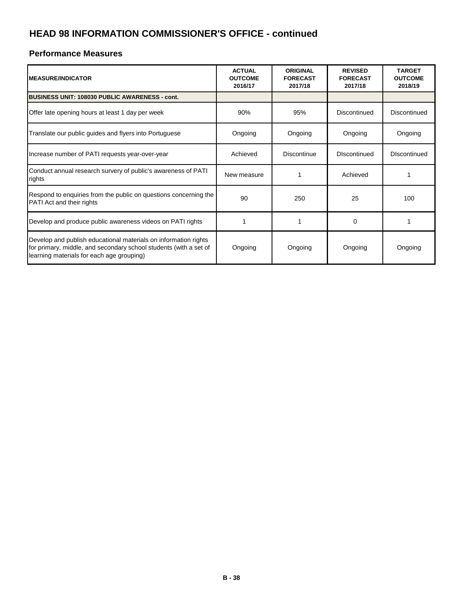| <b>I</b> MEASURE/INDICATOR                                                                                                                                                        | <b>ACTUAL</b><br><b>OUTCOME</b><br>2016/17 | <b>ORIGINAL</b><br><b>FORECAST</b><br>2017/18 | <b>REVISED</b><br><b>FORECAST</b><br>2017/18 | <b>TARGET</b><br><b>OUTCOME</b><br>2018/19 |
|-----------------------------------------------------------------------------------------------------------------------------------------------------------------------------------|--------------------------------------------|-----------------------------------------------|----------------------------------------------|--------------------------------------------|
| <b>BUSINESS UNIT: 108030 PUBLIC AWARENESS - cont.</b>                                                                                                                             |                                            |                                               |                                              |                                            |
| Offer late opening hours at least 1 day per week                                                                                                                                  | 90%                                        | 95%                                           | Discontinued                                 | Discontinued                               |
| Translate our public guides and flyers into Portuguese                                                                                                                            | Ongoing                                    | Ongoing                                       | Ongoing                                      | Ongoing                                    |
| Increase number of PATI requests year-over-year                                                                                                                                   | Achieved                                   | Discontinue                                   | <b>DIscontinued</b>                          | <b>DIscontinued</b>                        |
| Conduct annual research survery of public's awareness of PATI<br>rights                                                                                                           | New measure                                |                                               | Achieved                                     |                                            |
| Respond to enquiries from the public on questions concerning the<br><b>PATI</b> Act and their rights                                                                              | 90                                         | 250                                           | 25                                           | 100                                        |
| Develop and produce public awareness videos on PATI rights                                                                                                                        |                                            |                                               | $\Omega$                                     |                                            |
| Develop and publish educational materials on information rights<br>for primary, middle, and secondary school students (with a set of<br>learning materials for each age grouping) | Ongoing                                    | Ongoing                                       | Ongoing                                      | Ongoing                                    |